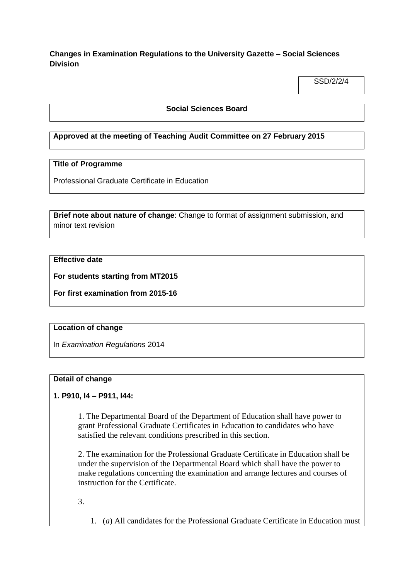**Changes in Examination Regulations to the University Gazette – Social Sciences Division**

SSD/2/2/4

#### **Social Sciences Board**

# **Approved at the meeting of Teaching Audit Committee on 27 February 2015**

## **Title of Programme**

Professional Graduate Certificate in Education

**Brief note about nature of change**: Change to format of assignment submission, and minor text revision

**Effective date**

**For students starting from MT2015**

**For first examination from 2015-16**

#### **Location of change**

In *Examination Regulations* 2014

#### **Detail of change**

# **1. P910, l4 – P911, l44:**

1. The Departmental Board of the Department of Education shall have power to grant Professional Graduate Certificates in Education to candidates who have satisfied the relevant conditions prescribed in this section.

2. The examination for the Professional Graduate Certificate in Education shall be under the supervision of the Departmental Board which shall have the power to make regulations concerning the examination and arrange lectures and courses of instruction for the Certificate.

3.

1. (*a*) All candidates for the Professional Graduate Certificate in Education must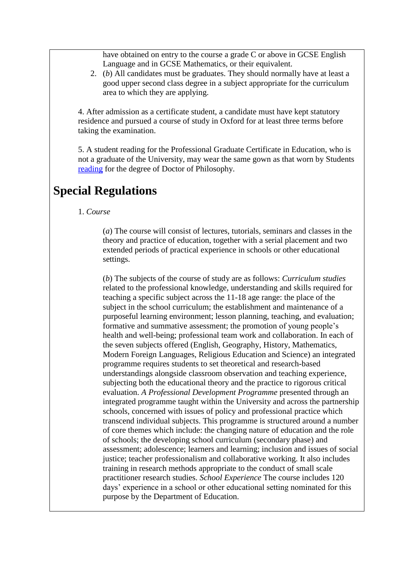have obtained on entry to the course a grade C or above in GCSE English Language and in GCSE Mathematics, or their equivalent.

2. (*b*) All candidates must be graduates. They should normally have at least a good upper second class degree in a subject appropriate for the curriculum area to which they are applying.

4. After admission as a certificate student, a candidate must have kept statutory residence and pursued a course of study in Oxford for at least three terms before taking the examination.

5. A student reading for the Professional Graduate Certificate in Education, who is not a graduate of the University, may wear the same gown as that worn by Students reading for the degree of Doctor of Philosophy.

# **Special Regulations**

#### 1. *Course*

(*a*) The course will consist of lectures, tutorials, seminars and classes in the theory and practice of education, together with a serial placement and two extended periods of practical experience in schools or other educational settings.

(*b*) The subjects of the course of study are as follows: *Curriculum studies*  related to the professional knowledge, understanding and skills required for teaching a specific subject across the 11-18 age range: the place of the subject in the school curriculum; the establishment and maintenance of a purposeful learning environment; lesson planning, teaching, and evaluation; formative and summative assessment; the promotion of young people's health and well-being; professional team work and collaboration. In each of the seven subjects offered (English, Geography, History, Mathematics, Modern Foreign Languages, Religious Education and Science) an integrated programme requires students to set theoretical and research-based understandings alongside classroom observation and teaching experience, subjecting both the educational theory and the practice to rigorous critical evaluation. *A Professional Development Programme* presented through an integrated programme taught within the University and across the partnership schools, concerned with issues of policy and professional practice which transcend individual subjects. This programme is structured around a number of core themes which include: the changing nature of education and the role of schools; the developing school curriculum (secondary phase) and assessment; adolescence; learners and learning; inclusion and issues of social justice; teacher professionalism and collaborative working. It also includes training in research methods appropriate to the conduct of small scale practitioner research studies. *School Experience* The course includes 120 days' experience in a school or other educational setting nominated for this purpose by the Department of Education.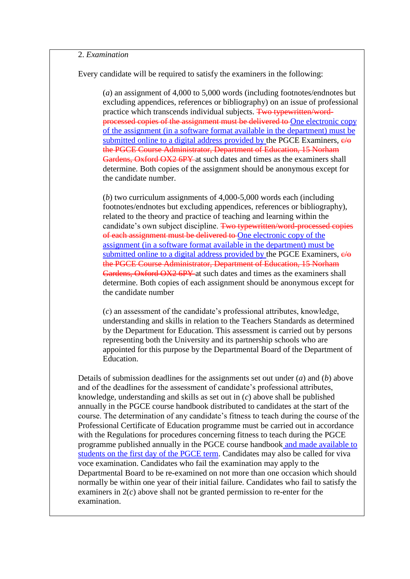#### 2. *Examination*

Every candidate will be required to satisfy the examiners in the following:

(*a*) an assignment of 4,000 to 5,000 words (including footnotes/endnotes but excluding appendices, references or bibliography) on an issue of professional practice which transcends individual subjects. Two typewritten/wordprocessed copies of the assignment must be delivered to One electronic copy of the assignment (in a software format available in the department) must be submitted online to a digital address provided by the PGCE Examiners,  $e/e$ the PGCE Course Administrator, Department of Education, 15 Norham Gardens, Oxford OX2 6PY at such dates and times as the examiners shall determine. Both copies of the assignment should be anonymous except for the candidate number.

(*b*) two curriculum assignments of 4,000-5,000 words each (including footnotes/endnotes but excluding appendices, references or bibliography), related to the theory and practice of teaching and learning within the candidate's own subject discipline. Two typewritten/word-processed copies of each assignment must be delivered to One electronic copy of the assignment (in a software format available in the department) must be submitted online to a digital address provided by the PGCE Examiners,  $e/e$ the PGCE Course Administrator, Department of Education, 15 Norham Gardens, Oxford OX2 6PY at such dates and times as the examiners shall determine. Both copies of each assignment should be anonymous except for the candidate number

(*c*) an assessment of the candidate's professional attributes, knowledge, understanding and skills in relation to the Teachers Standards as determined by the Department for Education. This assessment is carried out by persons representing both the University and its partnership schools who are appointed for this purpose by the Departmental Board of the Department of Education.

Details of submission deadlines for the assignments set out under (*a*) and (*b*) above and of the deadlines for the assessment of candidate's professional attributes, knowledge, understanding and skills as set out in (*c*) above shall be published annually in the PGCE course handbook distributed to candidates at the start of the course. The determination of any candidate's fitness to teach during the course of the Professional Certificate of Education programme must be carried out in accordance with the Regulations for procedures concerning fitness to teach during the PGCE programme published annually in the PGCE course handbook and made available to students on the first day of the PGCE term. Candidates may also be called for viva voce examination. Candidates who fail the examination may apply to the Departmental Board to be re-examined on not more than one occasion which should normally be within one year of their initial failure. Candidates who fail to satisfy the examiners in 2(*c*) above shall not be granted permission to re-enter for the examination.